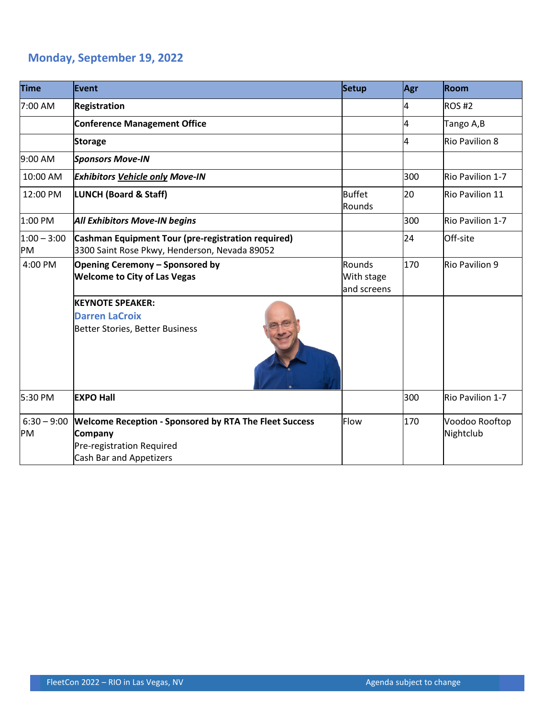## **Monday, September 19, 2022**

| <b>Time</b>         | Event                                                                                                                                   | <b>Setup</b>                        | Agr | Room                        |
|---------------------|-----------------------------------------------------------------------------------------------------------------------------------------|-------------------------------------|-----|-----------------------------|
| 7:00 AM             | <b>Registration</b>                                                                                                                     |                                     | 4   | <b>ROS#2</b>                |
|                     | <b>Conference Management Office</b>                                                                                                     |                                     | 4   | Tango A,B                   |
|                     | <b>Storage</b>                                                                                                                          |                                     | 4   | <b>Rio Pavilion 8</b>       |
| 9:00 AM             | <b>Sponsors Move-IN</b>                                                                                                                 |                                     |     |                             |
| 10:00 AM            | <b>Exhibitors Vehicle only Move-IN</b>                                                                                                  |                                     | 300 | Rio Pavilion 1-7            |
| 12:00 PM            | <b>LUNCH (Board &amp; Staff)</b>                                                                                                        | <b>Buffet</b><br>Rounds             | 20  | <b>Rio Pavilion 11</b>      |
| 1:00 PM             | <b>All Exhibitors Move-IN begins</b>                                                                                                    |                                     | 300 | Rio Pavilion 1-7            |
| $1:00 - 3:00$<br>PM | Cashman Equipment Tour (pre-registration required)<br>3300 Saint Rose Pkwy, Henderson, Nevada 89052                                     |                                     | 24  | Off-site                    |
| 4:00 PM             | Opening Ceremony - Sponsored by<br><b>Welcome to City of Las Vegas</b>                                                                  | Rounds<br>With stage<br>and screens | 170 | <b>Rio Pavilion 9</b>       |
|                     | <b>KEYNOTE SPEAKER:</b><br><b>Darren LaCroix</b><br>Better Stories, Better Business                                                     |                                     |     |                             |
| 5:30 PM             | <b>EXPO Hall</b>                                                                                                                        |                                     | 300 | Rio Pavilion 1-7            |
| $6:30 - 9:00$<br>PM | <b>Welcome Reception - Sponsored by RTA The Fleet Success</b><br>Company<br>Pre-registration Required<br><b>Cash Bar and Appetizers</b> | Flow                                | 170 | Voodoo Rooftop<br>Nightclub |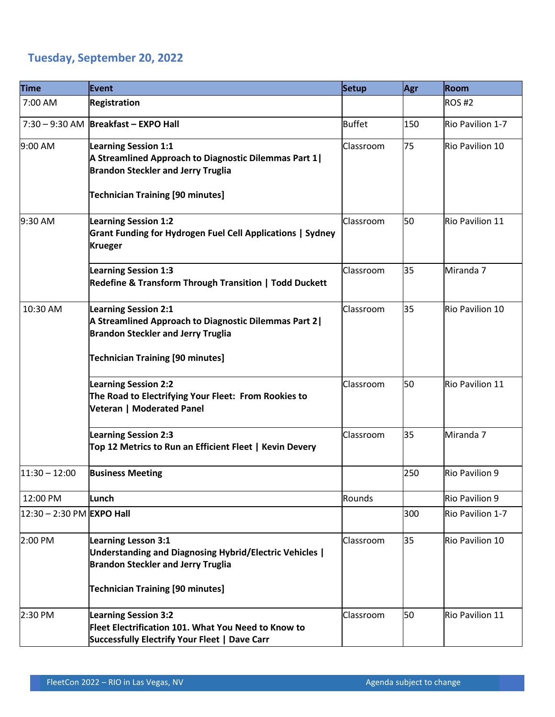## **Tuesday, September 20, 2022**

| <b>Time</b>                  | <b>Event</b>                                                                                                                                                                  | Setup         | Agr | Room             |
|------------------------------|-------------------------------------------------------------------------------------------------------------------------------------------------------------------------------|---------------|-----|------------------|
| 7:00 AM                      | <b>Registration</b>                                                                                                                                                           |               |     | <b>ROS #2</b>    |
|                              | 7:30 - 9:30 AM Breakfast - EXPO Hall                                                                                                                                          | <b>Buffet</b> | 150 | Rio Pavilion 1-7 |
| 9:00 AM                      | <b>Learning Session 1:1</b><br>A Streamlined Approach to Diagnostic Dilemmas Part 1 <br><b>Brandon Steckler and Jerry Truglia</b><br><b>Technician Training [90 minutes]</b>  | Classroom     | 75  | Rio Pavilion 10  |
| 9:30 AM                      | <b>Learning Session 1:2</b><br><b>Grant Funding for Hydrogen Fuel Cell Applications   Sydney</b><br><b>Krueger</b>                                                            | Classroom     | 50  | Rio Pavilion 11  |
|                              | <b>Learning Session 1:3</b><br>Redefine & Transform Through Transition   Todd Duckett                                                                                         | Classroom     | 35  | Miranda 7        |
| 10:30 AM                     | <b>Learning Session 2:1</b><br>A Streamlined Approach to Diagnostic Dilemmas Part 2 <br><b>Brandon Steckler and Jerry Truglia</b><br><b>Technician Training [90 minutes]</b>  | Classroom     | 35  | Rio Pavilion 10  |
|                              | <b>Learning Session 2:2</b><br>The Road to Electrifying Your Fleet: From Rookies to<br>Veteran   Moderated Panel                                                              | Classroom     | 50  | Rio Pavilion 11  |
|                              | <b>Learning Session 2:3</b><br>Top 12 Metrics to Run an Efficient Fleet   Kevin Devery                                                                                        | Classroom     | 35  | Miranda 7        |
| $11:30 - 12:00$              | <b>Business Meeting</b>                                                                                                                                                       |               | 250 | Rio Pavilion 9   |
| 12:00 PM                     | Lunch                                                                                                                                                                         | Rounds        |     | Rio Pavilion 9   |
| $ 12:30 - 2:30$ PM EXPO Hall |                                                                                                                                                                               |               | 300 | Rio Pavilion 1-7 |
| 2:00 PM                      | <b>Learning Lesson 3:1</b><br>Understanding and Diagnosing Hybrid/Electric Vehicles  <br><b>Brandon Steckler and Jerry Truglia</b><br><b>Technician Training [90 minutes]</b> | Classroom     | 35  | Rio Pavilion 10  |
| 2:30 PM                      | <b>Learning Session 3:2</b><br>Fleet Electrification 101. What You Need to Know to<br>Successfully Electrify Your Fleet   Dave Carr                                           | Classroom     | 50  | Rio Pavilion 11  |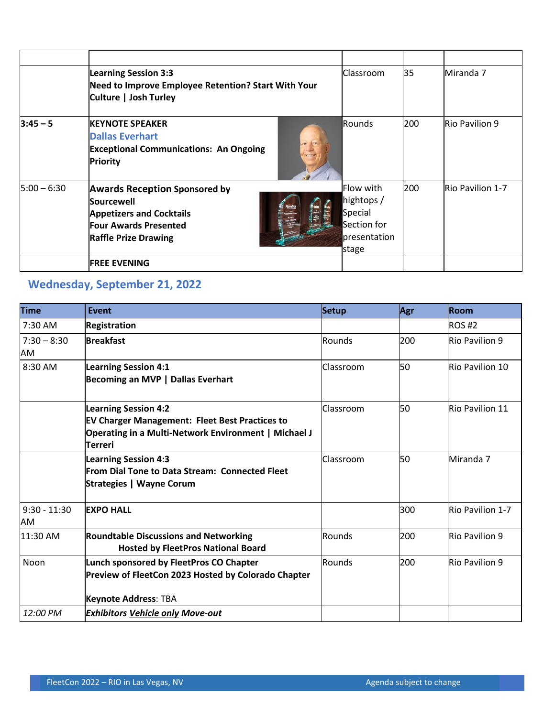|               | <b>Learning Session 3:3</b><br>Need to Improve Employee Retention? Start With Your<br>Culture   Josh Turley                                          | Classroom                                                                          | 35  | Miranda 7        |
|---------------|------------------------------------------------------------------------------------------------------------------------------------------------------|------------------------------------------------------------------------------------|-----|------------------|
| $3:45 - 5$    | <b>KEYNOTE SPEAKER</b><br><b>Dallas Everhart</b><br><b>Exceptional Communications: An Ongoing</b><br>Priority                                        | Rounds                                                                             | 200 | Rio Pavilion 9   |
| $5:00 - 6:30$ | <b>Awards Reception Sponsored by</b><br>Sourcewell<br><b>Appetizers and Cocktails</b><br><b>Four Awards Presented</b><br><b>Raffle Prize Drawing</b> | <b>Flow with</b><br>hightops /<br>Special<br>Section for<br>presentation<br>]stage | 200 | Rio Pavilion 1-7 |
|               | <b>FREE EVENING</b>                                                                                                                                  |                                                                                    |     |                  |

## **Wednesday, September 21, 2022**

| <b>Time</b>          | <b>Event</b>                                                                                                                                            | Setup            | Agr | Room                    |
|----------------------|---------------------------------------------------------------------------------------------------------------------------------------------------------|------------------|-----|-------------------------|
| 7:30 AM              | Registration                                                                                                                                            |                  |     | $ROS$ #2                |
| $7:30 - 8:30$<br>AM  | <b>Breakfast</b>                                                                                                                                        | Rounds           | 200 | Rio Pavilion 9          |
| 8:30 AM              | <b>Learning Session 4:1</b><br>Becoming an MVP   Dallas Everhart                                                                                        | Classroom        | 50  | Rio Pavilion 10         |
|                      | <b>Learning Session 4:2</b><br><b>EV Charger Management: Fleet Best Practices to</b><br>Operating in a Multi-Network Environment   Michael J<br>Terreri | Classroom        | 50  | Rio Pavilion 11         |
|                      | <b>Learning Session 4:3</b><br><b>From Dial Tone to Data Stream: Connected Fleet</b><br>Strategies   Wayne Corum                                        | <b>Classroom</b> | 50  | Miranda 7               |
| $9:30 - 11:30$<br>AM | <b>EXPO HALL</b>                                                                                                                                        |                  | 300 | <b>Rio Pavilion 1-7</b> |
| 11:30 AM             | <b>Roundtable Discussions and Networking</b><br><b>Hosted by FleetPros National Board</b>                                                               | Rounds           | 200 | Rio Pavilion 9          |
| <b>Noon</b>          | Lunch sponsored by FleetPros CO Chapter<br>Preview of FleetCon 2023 Hosted by Colorado Chapter                                                          | Rounds           | 200 | Rio Pavilion 9          |
|                      | Keynote Address: TBA                                                                                                                                    |                  |     |                         |
| 12:00 PM             | <b>Exhibitors Vehicle only Move-out</b>                                                                                                                 |                  |     |                         |